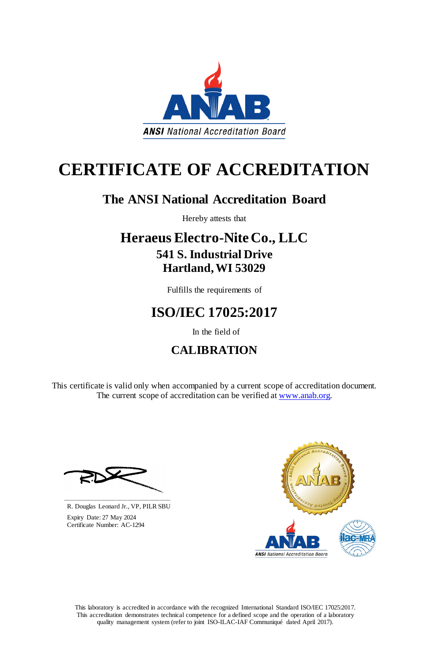This laboratory is accredited in accordance with the recognized International Standard ISO/IEC 17025:2017. This accreditation demonstrates technical competence for a defined scope and the operation of a laboratory quality management system (refer to joint ISO-ILAC-IAF Communiqué dated April 2017).

This certificate is valid only when accompanied by a current scope of accreditation document. The current scope of accreditation can be verified at [www.anab.org.](http://www.anab.org/)







# **CERTIFICATE OF ACCREDITATION**

### **The ANSI National Accreditation Board**

Hereby attests that

### **Heraeus Electro-Nite Co., LLC 541 S. Industrial Drive Hartland, WI 53029**

Fulfills the requirements of

# **ISO/IEC 17025:2017**

In the field of

## **CALIBRATION**

**\_\_\_\_\_\_\_\_\_\_\_\_\_\_\_\_\_\_\_\_\_\_\_\_\_\_\_\_\_\_** R. Douglas Leonard Jr., VP, PILR SBU

 Expiry Date: 27 May 2024 Certificate Number: AC-1294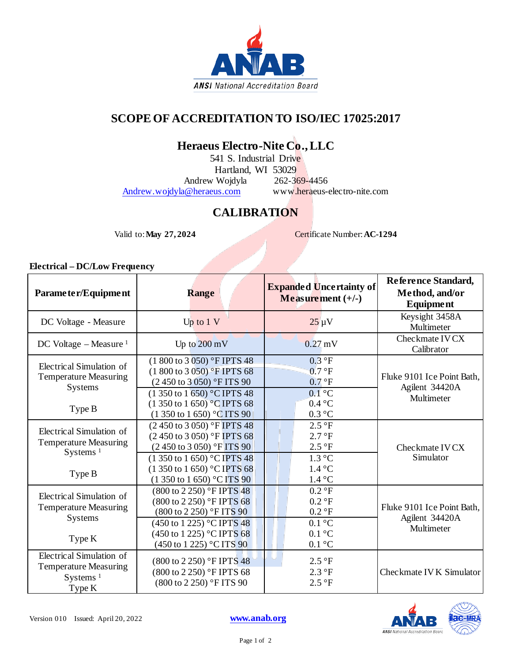

#### **SCOPE OF ACCREDITATION TO ISO/IEC 17025:2017**

### **Heraeus Electro-Nite Co., LLC**

541 S. Industrial Drive

Hartland, WI 53029<br>Wojdyla 262-369-4456

Andrew Wojdyla

[Andrew.wojdyla@heraeus.com](mailto:Andrew.wojdyla@heraeus.com) www.heraeus-electro-nite.com

### **CALIBRATION**

Valid to: **May 27, 2024** Certificate Number: **AC-1294** 

#### **Electrical – DC/Low Frequency**

| Parameter/Equipment                                                               | <b>Range</b>                                                                                                                                             | <b>Expanded Uncertainty of</b><br>Measurement $(+/-)$            | Reference Standard,<br>Method, and/or<br>Equipment         |
|-----------------------------------------------------------------------------------|----------------------------------------------------------------------------------------------------------------------------------------------------------|------------------------------------------------------------------|------------------------------------------------------------|
| DC Voltage - Measure                                                              | Up to $1V$                                                                                                                                               | $25 \mu V$                                                       | Keysight 3458A<br>Multimeter                               |
| DC Voltage $-$ Measure <sup>1</sup>                                               | Up to $200 \text{ mV}$                                                                                                                                   | $0.27 \text{ mV}$                                                | Checkmate IV CX<br>Calibrator                              |
| Electrical Simulation of<br><b>Temperature Measuring</b><br><b>Systems</b>        | (1 800 to 3 050) °F IPTS 48<br>$(1800 \text{ to } 3050)$ °F IPTS 68<br>(2450 to 3050) °F ITS 90<br>$(1\,350\,\text{to}\,1\,650)$ °C IPTS 48              | 0.3 °F<br>0.7 °F<br>0.7 °F<br>$0.1^{\circ}$ C<br>$0.4\text{ °C}$ | Fluke 9101 Ice Point Bath.<br>Agilent 34420A<br>Multimeter |
| Type B                                                                            | $(1350 \text{ to } 1650)$ °C IPTS 68<br>$(1350 \text{ to } 1650)$ °C ITS 90                                                                              | 0.3 °C                                                           |                                                            |
| Electrical Simulation of<br><b>Temperature Measuring</b><br>Systems $1$           | $(2\,450\,{\rm to}\,3\,050)$ °F IPTS 48<br>(2 450 to 3 050) °F IPTS 68<br>$(2\,450\,{\rm to}\,3\,050)$ °F ITS 90<br>$(1350 \text{ to } 1650)$ °C IPTS 48 | 2.5 °F<br>2.7 °F<br>2.5 °F<br>$1.3 \degree C$                    | Checkmate IV CX<br>Simulator                               |
| Type B                                                                            | $(1350 \text{ to } 1650)$ °C IPTS 68<br>$(1\,350\,\text{to}\,1\,650)$ °C ITS 90                                                                          | $1.4\degree C$<br>$1.4\text{ °C}$                                |                                                            |
| Electrical Simulation of<br><b>Temperature Measuring</b><br><b>Systems</b>        | $(800 \text{ to } 2\,250)$ °F IPTS 48<br>(800 to 2 250) °F IPTS 68<br>$(800 \text{ to } 2250)$ °F ITS 90                                                 | 0.2 °F<br>$0.2 \text{ }^{\circ}F$<br>0.2 °F                      | Fluke 9101 Ice Point Bath,<br>Agilent 34420A<br>Multimeter |
| Type K                                                                            | (450 to 1 225) °C IPTS 48<br>(450 to 1 225) °C IPTS 68<br>$(450 \text{ to } 1225)$ °C ITS 90                                                             | $0.1\degree C$<br>$0.1 \degree C$<br>$0.1\text{ }^{\circ}C$      |                                                            |
| Electrical Simulation of<br><b>Temperature Measuring</b><br>Systems $1$<br>Type K | (800 to 2 250) °F IPTS 48<br>(800 to 2 250) °F IPTS 68<br>(800 to 2 250) °F ITS 90                                                                       | 2.5 °F<br>2.3 °F<br>2.5 °F                                       | Checkmate IV K Simulator                                   |